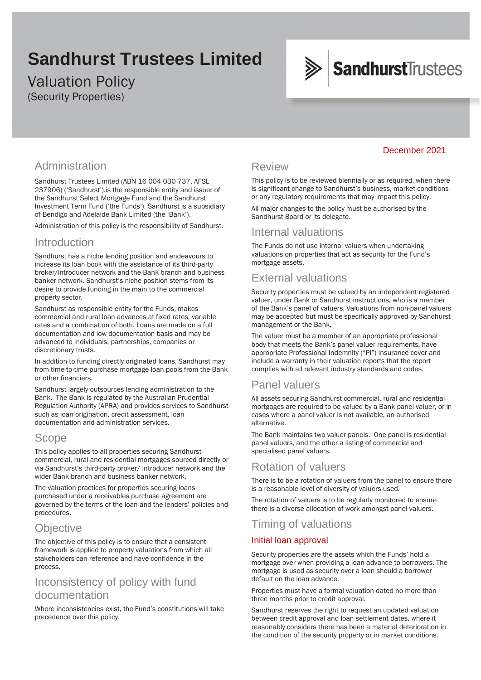# **Sandhurst Trustees Limited**

# Valuation Policy (Security Properties)



# Administration

Sandhurst Trustees Limited (ABN 16 004 030 737, AFSL 237906) ('Sandhurst').is the responsible entity and issuer of the Sandhurst Select Mortgage Fund and the Sandhurst Investment Term Fund ('the Funds'). Sandhurst is a subsidiary of Bendigo and Adelaide Bank Limited (the 'Bank').

Administration of this policy is the responsibility of Sandhurst.

### Introduction

Sandhurst has a niche lending position and endeavours to increase its loan book with the assistance of its third-party broker/introducer network and the Bank branch and business banker network. Sandhurst's niche position stems from its desire to provide funding in the main to the commercial property sector.

Sandhurst as responsible entity for the Funds, makes commercial and rural loan advances at fixed rates, variable rates and a combination of both. Loans are made on a full documentation and low documentation basis and may be advanced to individuals, partnerships, companies or discretionary trusts.

In addition to funding directly originated loans, Sandhurst may from time-to-time purchase mortgage loan pools from the Bank or other financiers.

Sandhurst largely outsources lending administration to the Bank. The Bank is regulated by the Australian Prudential Regulation Authority (APRA) and provides services to Sandhurst such as loan origination, credit assessment, loan documentation and administration services.

### Scope

This policy applies to all properties securing Sandhurst commercial, rural and residential mortgages sourced directly or via Sandhurst's third-party broker/ introducer network and the wider Bank branch and business banker network.

The valuation practices for properties securing loans purchased under a receivables purchase agreement are governed by the terms of the loan and the lenders' policies and procedures.

## **Objective**

The objective of this policy is to ensure that a consistent framework is applied to property valuations from which all stakeholders can reference and have confidence in the process.

## Inconsistency of policy with fund documentation

Where inconsistencies exist, the Fund's constitutions will take precedence over this policy.

#### Review

This policy is to be reviewed biennially or as required, when there is significant change to Sandhurst's business, market conditions or any regulatory requirements that may impact this policy.

All major changes to the policy must be authorised by the Sandhurst Board or its delegate.

## Internal valuations

The Funds do not use internal valuers when undertaking valuations on properties that act as security for the Fund's mortgage assets.

# External valuations

Security properties must be valued by an independent registered valuer, under Bank or Sandhurst instructions, who is a member of the Bank's panel of valuers. Valuations from non-panel valuers may be accepted but must be specifically approved by Sandhurst management or the Bank.

The valuer must be a member of an appropriate professional body that meets the Bank's panel valuer requirements, have appropriate Professional Indemnity ("PI") insurance cover and include a warranty in their valuation reports that the report complies with all relevant industry standards and codes.

### Panel valuers

All assets securing Sandhurst commercial, rural and residential mortgages are required to be valued by a Bank panel valuer, or in cases where a panel valuer is not available, an authorised alternative.

The Bank maintains two valuer panels. One panel is residential panel valuers, and the other a listing of commercial and specialised panel valuers.

#### Rotation of valuers

There is to be a rotation of valuers from the panel to ensure there is a reasonable level of diversity of valuers used.

The rotation of valuers is to be regularly monitored to ensure there is a diverse allocation of work amongst panel valuers.

### Timing of valuations

#### Initial loan approval

Security properties are the assets which the Funds' hold a mortgage over when providing a loan advance to borrowers. The mortgage is used as security over a loan should a borrower default on the loan advance.

Properties must have a formal valuation dated no more than three months prior to credit approval.

Sandhurst reserves the right to request an updated valuation between credit approval and loan settlement dates, where it reasonably considers there has been a material deterioration in the condition of the security property or in market conditions.

#### December 2021